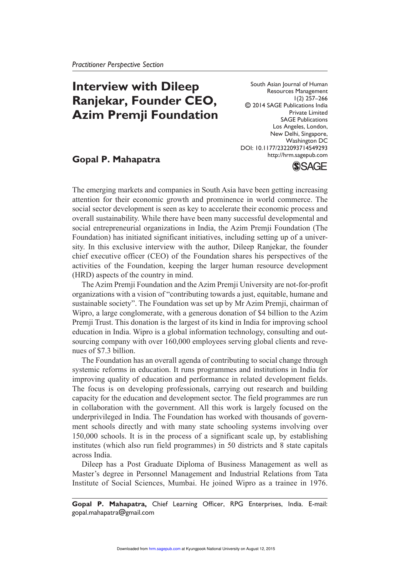# **Interview with Dileep Ranjekar, Founder CEO, Azim Premji Foundation**

South Asian Journal of Human Resources Management 1(2) 257–266 2014 SAGE Publications India Private Limited SAGE Publications Los Angeles, London, New Delhi, Singapore, Washington DC DOI: 10.1177/2322093714549293 http://hrm.sagepub.com

## **Gopal P. Mahapatra**

**SSAGE** 

The emerging markets and companies in South Asia have been getting increasing attention for their economic growth and prominence in world commerce. The social sector development is seen as key to accelerate their economic process and overall sustainability. While there have been many successful developmental and social entrepreneurial organizations in India, the Azim Premji Foundation (The Foundation) has initiated significant initiatives, including setting up of a university. In this exclusive interview with the author, Dileep Ranjekar, the founder chief executive officer (CEO) of the Foundation shares his perspectives of the activities of the Foundation, keeping the larger human resource development (HRD) aspects of the country in mind.

The Azim Premji Foundation and the Azim Premji University are not-for-profit organizations with a vision of "contributing towards a just, equitable, humane and sustainable society". The Foundation was set up by Mr Azim Premji, chairman of Wipro, a large conglomerate, with a generous donation of \$4 billion to the Azim Premji Trust. This donation is the largest of its kind in India for improving school education in India. Wipro is a global information technology, consulting and outsourcing company with over 160,000 employees serving global clients and revenues of \$7.3 billion.

The Foundation has an overall agenda of contributing to social change through systemic reforms in education. It runs programmes and institutions in India for improving quality of education and performance in related development fields. The focus is on developing professionals, carrying out research and building capacity for the education and development sector. The field programmes are run in collaboration with the government. All this work is largely focused on the underprivileged in India. The Foundation has worked with thousands of government schools directly and with many state schooling systems involving over 150,000 schools. It is in the process of a significant scale up, by establishing institutes (which also run field programmes) in 50 districts and 8 state capitals across India.

Dileep has a Post Graduate Diploma of Business Management as well as Master's degree in Personnel Management and Industrial Relations from Tata Institute of Social Sciences, Mumbai. He joined Wipro as a trainee in 1976.

Gopal P. Mahapatra, Chief Learning Officer, RPG Enterprises, India. E-mail: gopal.mahapatra@gmail.com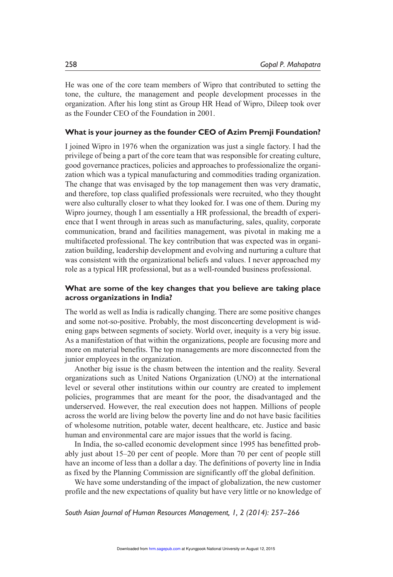He was one of the core team members of Wipro that contributed to setting the tone, the culture, the management and people development processes in the organization. After his long stint as Group HR Head of Wipro, Dileep took over as the Founder CEO of the Foundation in 2001.

#### **What is your journey as the founder CEO of Azim Premji Foundation?**

I joined Wipro in 1976 when the organization was just a single factory. I had the privilege of being a part of the core team that was responsible for creating culture, good governance practices, policies and approaches to professionalize the organization which was a typical manufacturing and commodities trading organization. The change that was envisaged by the top management then was very dramatic, and therefore, top class qualified professionals were recruited, who they thought were also culturally closer to what they looked for. I was one of them. During my Wipro journey, though I am essentially a HR professional, the breadth of experience that I went through in areas such as manufacturing, sales, quality, corporate communication, brand and facilities management, was pivotal in making me a multifaceted professional. The key contribution that was expected was in organization building, leadership development and evolving and nurturing a culture that was consistent with the organizational beliefs and values. I never approached my role as a typical HR professional, but as a well-rounded business professional.

## **What are some of the key changes that you believe are taking place across organizations in India?**

The world as well as India is radically changing. There are some positive changes and some not-so-positive. Probably, the most disconcerting development is widening gaps between segments of society. World over, inequity is a very big issue. As a manifestation of that within the organizations, people are focusing more and more on material benefits. The top managements are more disconnected from the junior employees in the organization.

Another big issue is the chasm between the intention and the reality. Several organizations such as United Nations Organization (UNO) at the international level or several other institutions within our country are created to implement policies, programmes that are meant for the poor, the disadvantaged and the underserved. However, the real execution does not happen. Millions of people across the world are living below the poverty line and do not have basic facilities of wholesome nutrition, potable water, decent healthcare, etc. Justice and basic human and environmental care are major issues that the world is facing.

In India, the so-called economic development since 1995 has benefitted probably just about 15–20 per cent of people. More than 70 per cent of people still have an income of less than a dollar a day. The definitions of poverty line in India as fixed by the Planning Commission are significantly off the global definition.

We have some understanding of the impact of globalization, the new customer profile and the new expectations of quality but have very little or no knowledge of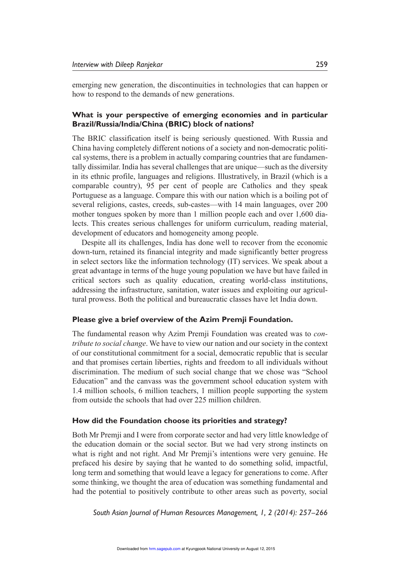emerging new generation, the discontinuities in technologies that can happen or how to respond to the demands of new generations.

#### **What is your perspective of emerging economies and in particular Brazil/Russia/India/China (BRIC) block of nations?**

The BRIC classification itself is being seriously questioned. With Russia and China having completely different notions of a society and non-democratic political systems, there is a problem in actually comparing countries that are fundamentally dissimilar. India has several challenges that are unique—such as the diversity in its ethnic profile, languages and religions. Illustratively, in Brazil (which is a comparable country), 95 per cent of people are Catholics and they speak Portuguese as a language. Compare this with our nation which is a boiling pot of several religions, castes, creeds, sub-castes—with 14 main languages, over 200 mother tongues spoken by more than 1 million people each and over 1,600 dialects. This creates serious challenges for uniform curriculum, reading material, development of educators and homogeneity among people.

Despite all its challenges, India has done well to recover from the economic down-turn, retained its financial integrity and made significantly better progress in select sectors like the information technology (IT) services. We speak about a great advantage in terms of the huge young population we have but have failed in critical sectors such as quality education, creating world-class institutions, addressing the infrastructure, sanitation, water issues and exploiting our agricultural prowess. Both the political and bureaucratic classes have let India down.

#### **Please give a brief overview of the Azim Premji Foundation.**

The fundamental reason why Azim Premji Foundation was created was to *contribute to social change*. We have to view our nation and our society in the context of our constitutional commitment for a social, democratic republic that is secular and that promises certain liberties, rights and freedom to all individuals without discrimination. The medium of such social change that we chose was "School Education" and the canvass was the government school education system with 1.4 million schools, 6 million teachers, 1 million people supporting the system from outside the schools that had over 225 million children.

#### **How did the Foundation choose its priorities and strategy?**

Both Mr Premji and I were from corporate sector and had very little knowledge of the education domain or the social sector. But we had very strong instincts on what is right and not right. And Mr Premji's intentions were very genuine. He prefaced his desire by saying that he wanted to do something solid, impactful, long term and something that would leave a legacy for generations to come. After some thinking, we thought the area of education was something fundamental and had the potential to positively contribute to other areas such as poverty, social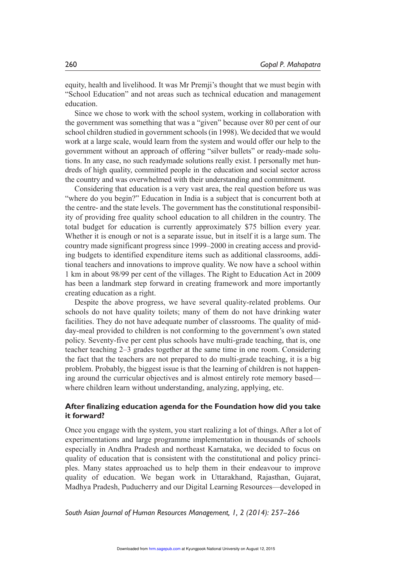equity, health and livelihood. It was Mr Premji's thought that we must begin with "School Education" and not areas such as technical education and management education.

Since we chose to work with the school system, working in collaboration with the government was something that was a "given" because over 80 per cent of our school children studied in government schools (in 1998). We decided that we would work at a large scale, would learn from the system and would offer our help to the government without an approach of offering "silver bullets" or ready-made solutions. In any case, no such readymade solutions really exist. I personally met hundreds of high quality, committed people in the education and social sector across the country and was overwhelmed with their understanding and commitment.

Considering that education is a very vast area, the real question before us was "where do you begin?" Education in India is a subject that is concurrent both at the centre- and the state levels. The government has the constitutional responsibility of providing free quality school education to all children in the country. The total budget for education is currently approximately \$75 billion every year. Whether it is enough or not is a separate issue, but in itself it is a large sum. The country made significant progress since 1999–2000 in creating access and providing budgets to identified expenditure items such as additional classrooms, additional teachers and innovations to improve quality. We now have a school within 1 km in about 98/99 per cent of the villages. The Right to Education Act in 2009 has been a landmark step forward in creating framework and more importantly creating education as a right.

Despite the above progress, we have several quality-related problems. Our schools do not have quality toilets; many of them do not have drinking water facilities. They do not have adequate number of classrooms. The quality of midday-meal provided to children is not conforming to the government's own stated policy. Seventy-five per cent plus schools have multi-grade teaching, that is, one teacher teaching 2–3 grades together at the same time in one room. Considering the fact that the teachers are not prepared to do multi-grade teaching, it is a big problem. Probably, the biggest issue is that the learning of children is not happening around the curricular objectives and is almost entirely rote memory based where children learn without understanding, analyzing, applying, etc.

#### **After finalizing education agenda for the Foundation how did you take it forward?**

Once you engage with the system, you start realizing a lot of things. After a lot of experimentations and large programme implementation in thousands of schools especially in Andhra Pradesh and northeast Karnataka, we decided to focus on quality of education that is consistent with the constitutional and policy principles. Many states approached us to help them in their endeavour to improve quality of education. We began work in Uttarakhand, Rajasthan, Gujarat, Madhya Pradesh, Puducherry and our Digital Learning Resources—developed in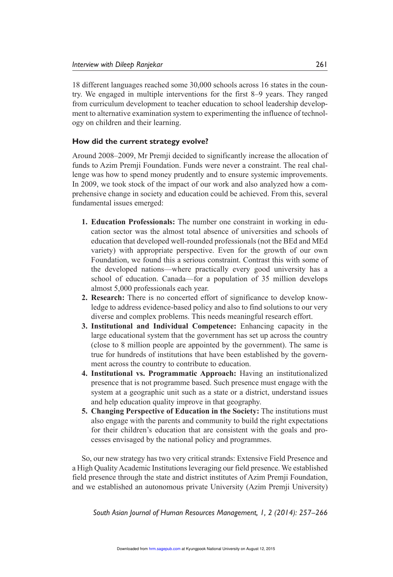18 different languages reached some 30,000 schools across 16 states in the country. We engaged in multiple interventions for the first 8–9 years. They ranged from curriculum development to teacher education to school leadership development to alternative examination system to experimenting the influence of technology on children and their learning.

## **How did the current strategy evolve?**

Around 2008–2009, Mr Premji decided to significantly increase the allocation of funds to Azim Premji Foundation. Funds were never a constraint. The real challenge was how to spend money prudently and to ensure systemic improvements. In 2009, we took stock of the impact of our work and also analyzed how a comprehensive change in society and education could be achieved. From this, several fundamental issues emerged:

- **1. Education Professionals:** The number one constraint in working in education sector was the almost total absence of universities and schools of education that developed well-rounded professionals (not the BEd and MEd variety) with appropriate perspective. Even for the growth of our own Foundation, we found this a serious constraint. Contrast this with some of the developed nations—where practically every good university has a school of education. Canada—for a population of 35 million develops almost 5,000 professionals each year.
- **2. Research:** There is no concerted effort of significance to develop knowledge to address evidence-based policy and also to find solutions to our very diverse and complex problems. This needs meaningful research effort.
- **3. Institutional and Individual Competence:** Enhancing capacity in the large educational system that the government has set up across the country (close to 8 million people are appointed by the government). The same is true for hundreds of institutions that have been established by the government across the country to contribute to education.
- **4. Institutional vs. Programmatic Approach:** Having an institutionalized presence that is not programme based. Such presence must engage with the system at a geographic unit such as a state or a district, understand issues and help education quality improve in that geography.
- **5. Changing Perspective of Education in the Society:** The institutions must also engage with the parents and community to build the right expectations for their children's education that are consistent with the goals and processes envisaged by the national policy and programmes.

So, our new strategy has two very critical strands: Extensive Field Presence and a High Quality Academic Institutions leveraging our field presence. We established field presence through the state and district institutes of Azim Premji Foundation, and we established an autonomous private University (Azim Premji University)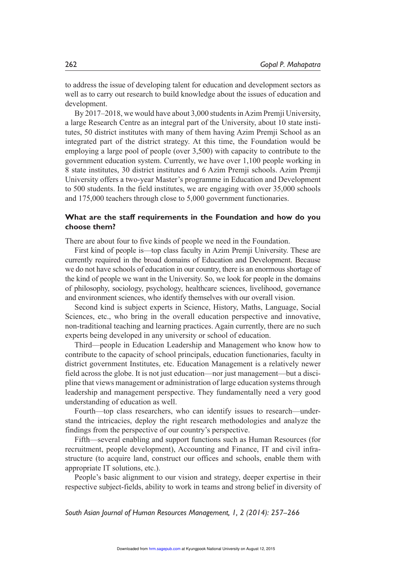to address the issue of developing talent for education and development sectors as well as to carry out research to build knowledge about the issues of education and development.

By 2017–2018, we would have about 3,000 students in Azim Premji University, a large Research Centre as an integral part of the University, about 10 state institutes, 50 district institutes with many of them having Azim Premji School as an integrated part of the district strategy. At this time, the Foundation would be employing a large pool of people (over 3,500) with capacity to contribute to the government education system. Currently, we have over 1,100 people working in 8 state institutes, 30 district institutes and 6 Azim Premji schools. Azim Premji University offers a two-year Master's programme in Education and Development to 500 students. In the field institutes, we are engaging with over 35,000 schools and 175,000 teachers through close to 5,000 government functionaries.

## **What are the staff requirements in the Foundation and how do you choose them?**

There are about four to five kinds of people we need in the Foundation.

First kind of people is—top class faculty in Azim Premji University. These are currently required in the broad domains of Education and Development. Because we do not have schools of education in our country, there is an enormous shortage of the kind of people we want in the University. So, we look for people in the domains of philosophy, sociology, psychology, healthcare sciences, livelihood, governance and environment sciences, who identify themselves with our overall vision.

Second kind is subject experts in Science, History, Maths, Language, Social Sciences, etc., who bring in the overall education perspective and innovative, non-traditional teaching and learning practices. Again currently, there are no such experts being developed in any university or school of education.

Third—people in Education Leadership and Management who know how to contribute to the capacity of school principals, education functionaries, faculty in district government Institutes, etc. Education Management is a relatively newer field across the globe. It is not just education—nor just management—but a discipline that views management or administration of large education systems through leadership and management perspective. They fundamentally need a very good understanding of education as well.

Fourth—top class researchers, who can identify issues to research—understand the intricacies, deploy the right research methodologies and analyze the findings from the perspective of our country's perspective.

Fifth—several enabling and support functions such as Human Resources (for recruitment, people development), Accounting and Finance, IT and civil infrastructure (to acquire land, construct our offices and schools, enable them with appropriate IT solutions, etc.).

People's basic alignment to our vision and strategy, deeper expertise in their respective subject-fields, ability to work in teams and strong belief in diversity of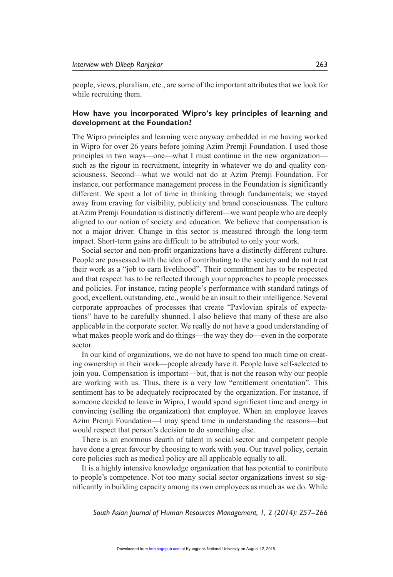people, views, pluralism, etc., are some of the important attributes that we look for while recruiting them.

### **How have you incorporated Wipro's key principles of learning and development at the Foundation?**

The Wipro principles and learning were anyway embedded in me having worked in Wipro for over 26 years before joining Azim Premji Foundation. I used those principles in two ways—one—what I must continue in the new organization such as the rigour in recruitment, integrity in whatever we do and quality consciousness. Second—what we would not do at Azim Premji Foundation. For instance, our performance management process in the Foundation is significantly different. We spent a lot of time in thinking through fundamentals; we stayed away from craving for visibility, publicity and brand consciousness. The culture at Azim Premji Foundation is distinctly different—we want people who are deeply aligned to our notion of society and education. We believe that compensation is not a major driver. Change in this sector is measured through the long-term impact. Short-term gains are difficult to be attributed to only your work.

Social sector and non-profit organizations have a distinctly different culture. People are possessed with the idea of contributing to the society and do not treat their work as a "job to earn livelihood". Their commitment has to be respected and that respect has to be reflected through your approaches to people processes and policies. For instance, rating people's performance with standard ratings of good, excellent, outstanding, etc., would be an insult to their intelligence. Several corporate approaches of processes that create "Pavlovian spirals of expectations" have to be carefully shunned. I also believe that many of these are also applicable in the corporate sector. We really do not have a good understanding of what makes people work and do things—the way they do—even in the corporate sector.

In our kind of organizations, we do not have to spend too much time on creating ownership in their work—people already have it. People have self-selected to join you. Compensation is important—but, that is not the reason why our people are working with us. Thus, there is a very low "entitlement orientation". This sentiment has to be adequately reciprocated by the organization. For instance, if someone decided to leave in Wipro, I would spend significant time and energy in convincing (selling the organization) that employee. When an employee leaves Azim Premji Foundation—I may spend time in understanding the reasons—but would respect that person's decision to do something else.

There is an enormous dearth of talent in social sector and competent people have done a great favour by choosing to work with you. Our travel policy, certain core policies such as medical policy are all applicable equally to all.

It is a highly intensive knowledge organization that has potential to contribute to people's competence. Not too many social sector organizations invest so significantly in building capacity among its own employees as much as we do. While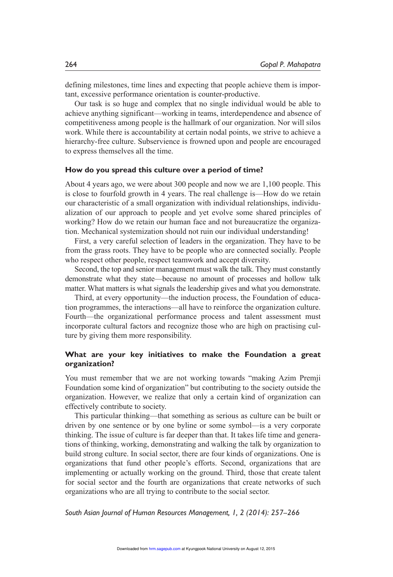defining milestones, time lines and expecting that people achieve them is important, excessive performance orientation is counter-productive.

Our task is so huge and complex that no single individual would be able to achieve anything significant—working in teams, interdependence and absence of competitiveness among people is the hallmark of our organization. Nor will silos work. While there is accountability at certain nodal points, we strive to achieve a hierarchy-free culture. Subservience is frowned upon and people are encouraged to express themselves all the time.

#### **How do you spread this culture over a period of time?**

About 4 years ago, we were about 300 people and now we are 1,100 people. This is close to fourfold growth in 4 years. The real challenge is—How do we retain our characteristic of a small organization with individual relationships, individualization of our approach to people and yet evolve some shared principles of working? How do we retain our human face and not bureaucratize the organization. Mechanical systemization should not ruin our individual understanding!

First, a very careful selection of leaders in the organization. They have to be from the grass roots. They have to be people who are connected socially. People who respect other people, respect teamwork and accept diversity.

Second, the top and senior management must walk the talk. They must constantly demonstrate what they state—because no amount of processes and hollow talk matter. What matters is what signals the leadership gives and what you demonstrate.

Third, at every opportunity—the induction process, the Foundation of education programmes, the interactions—all have to reinforce the organization culture. Fourth—the organizational performance process and talent assessment must incorporate cultural factors and recognize those who are high on practising culture by giving them more responsibility.

## **What are your key initiatives to make the Foundation a great organization?**

You must remember that we are not working towards "making Azim Premji Foundation some kind of organization" but contributing to the society outside the organization. However, we realize that only a certain kind of organization can effectively contribute to society.

This particular thinking—that something as serious as culture can be built or driven by one sentence or by one byline or some symbol—is a very corporate thinking. The issue of culture is far deeper than that. It takes life time and generations of thinking, working, demonstrating and walking the talk by organization to build strong culture. In social sector, there are four kinds of organizations. One is organizations that fund other people's efforts. Second, organizations that are implementing or actually working on the ground. Third, those that create talent for social sector and the fourth are organizations that create networks of such organizations who are all trying to contribute to the social sector.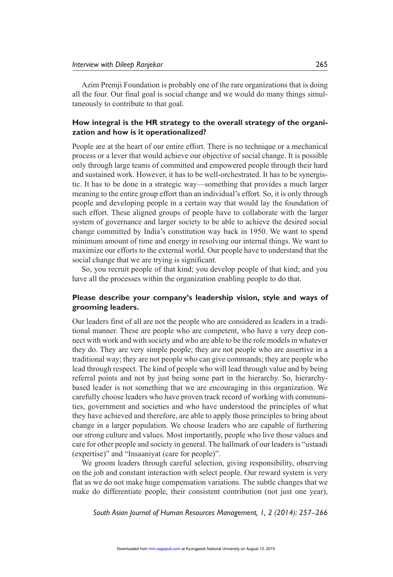Azim Premji Foundation is probably one of the rare organizations that is doing all the four. Our final goal is social change and we would do many things simultaneously to contribute to that goal.

#### **How integral is the HR strategy to the overall strategy of the organization and how is it operationalized?**

People are at the heart of our entire effort. There is no technique or a mechanical process or a lever that would achieve our objective of social change. It is possible only through large teams of committed and empowered people through their hard and sustained work. However, it has to be well-orchestrated. It has to be synergistic. It has to be done in a strategic way—something that provides a much larger meaning to the entire group effort than an individual's effort. So, it is only through people and developing people in a certain way that would lay the foundation of such effort. These aligned groups of people have to collaborate with the larger system of governance and larger society to be able to achieve the desired social change committed by India's constitution way back in 1950. We want to spend minimum amount of time and energy in resolving our internal things. We want to maximize our efforts to the external world. Our people have to understand that the social change that we are trying is significant.

So, you recruit people of that kind; you develop people of that kind; and you have all the processes within the organization enabling people to do that.

## **Please describe your company's leadership vision, style and ways of grooming leaders.**

Our leaders first of all are not the people who are considered as leaders in a traditional manner. These are people who are competent, who have a very deep connect with work and with society and who are able to be the role models in whatever they do. They are very simple people; they are not people who are assertive in a traditional way; they are not people who can give commands; they are people who lead through respect. The kind of people who will lead through value and by being referral points and not by just being some part in the hierarchy. So, hierarchybased leader is not something that we are encouraging in this organization. We carefully choose leaders who have proven track record of working with communities, government and societies and who have understood the principles of what they have achieved and therefore, are able to apply those principles to bring about change in a larger population. We choose leaders who are capable of furthering our strong culture and values. Most importantly, people who live those values and care for other people and society in general. The hallmark of our leaders is "ustaadi (expertise)" and "Insaaniyat (care for people)".

We groom leaders through careful selection, giving responsibility, observing on the job and constant interaction with select people. Our reward system is very flat as we do not make huge compensation variations. The subtle changes that we make do differentiate people, their consistent contribution (not just one year),